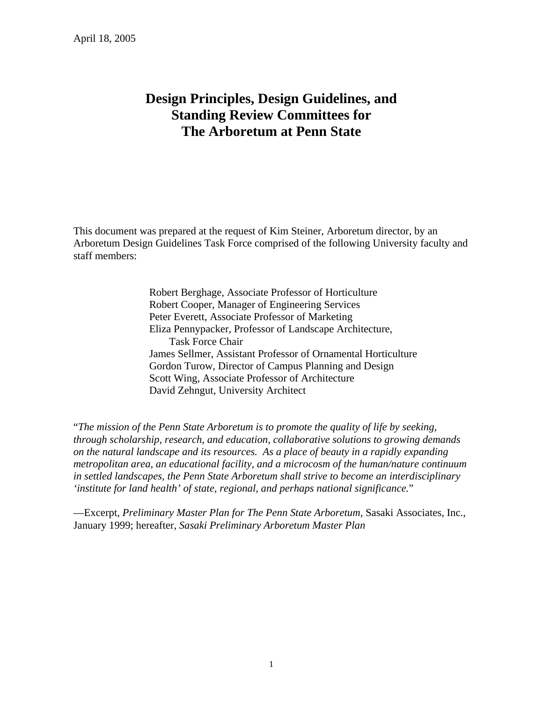# **Design Principles, Design Guidelines, and Standing Review Committees for The Arboretum at Penn State**

This document was prepared at the request of Kim Steiner, Arboretum director, by an Arboretum Design Guidelines Task Force comprised of the following University faculty and staff members:

> Robert Berghage, Associate Professor of Horticulture Robert Cooper, Manager of Engineering Services Peter Everett, Associate Professor of Marketing Eliza Pennypacker, Professor of Landscape Architecture, Task Force Chair James Sellmer, Assistant Professor of Ornamental Horticulture Gordon Turow, Director of Campus Planning and Design Scott Wing, Associate Professor of Architecture David Zehngut, University Architect

"*The mission of the Penn State Arboretum is to promote the quality of life by seeking, through scholarship, research, and education, collaborative solutions to growing demands on the natural landscape and its resources. As a place of beauty in a rapidly expanding metropolitan area, an educational facility, and a microcosm of the human/nature continuum in settled landscapes, the Penn State Arboretum shall strive to become an interdisciplinary 'institute for land health' of state, regional, and perhaps national significance.*"

—Excerpt, *Preliminary Master Plan for The Penn State Arboretum,* Sasaki Associates, Inc., January 1999; hereafter, *Sasaki Preliminary Arboretum Master Plan*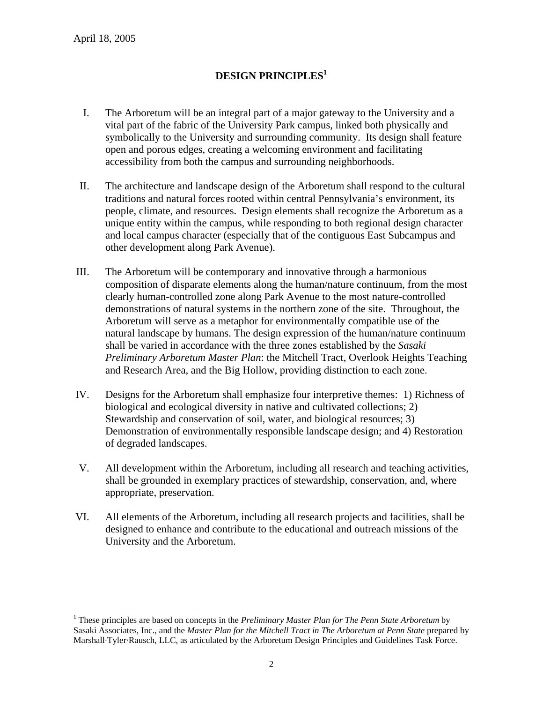$\overline{a}$ 

# **DESIGN PRINCIPLES1**

- I. The Arboretum will be an integral part of a major gateway to the University and a vital part of the fabric of the University Park campus, linked both physically and symbolically to the University and surrounding community. Its design shall feature open and porous edges, creating a welcoming environment and facilitating accessibility from both the campus and surrounding neighborhoods.
- II. The architecture and landscape design of the Arboretum shall respond to the cultural traditions and natural forces rooted within central Pennsylvania's environment, its people, climate, and resources. Design elements shall recognize the Arboretum as a unique entity within the campus, while responding to both regional design character and local campus character (especially that of the contiguous East Subcampus and other development along Park Avenue).
- III. The Arboretum will be contemporary and innovative through a harmonious composition of disparate elements along the human/nature continuum, from the most clearly human-controlled zone along Park Avenue to the most nature-controlled demonstrations of natural systems in the northern zone of the site. Throughout, the Arboretum will serve as a metaphor for environmentally compatible use of the natural landscape by humans. The design expression of the human/nature continuum shall be varied in accordance with the three zones established by the *Sasaki Preliminary Arboretum Master Plan*: the Mitchell Tract, Overlook Heights Teaching and Research Area, and the Big Hollow, providing distinction to each zone.
- IV. Designs for the Arboretum shall emphasize four interpretive themes: 1) Richness of biological and ecological diversity in native and cultivated collections; 2) Stewardship and conservation of soil, water, and biological resources; 3) Demonstration of environmentally responsible landscape design; and 4) Restoration of degraded landscapes.
- V. All development within the Arboretum, including all research and teaching activities, shall be grounded in exemplary practices of stewardship, conservation, and, where appropriate, preservation.
- VI. All elements of the Arboretum, including all research projects and facilities, shall be designed to enhance and contribute to the educational and outreach missions of the University and the Arboretum.

<sup>&</sup>lt;sup>1</sup> These principles are based on concepts in the *Preliminary Master Plan for The Penn State Arboretum* by Sasaki Associates, Inc., and the *Master Plan for the Mitchell Tract in The Arboretum at Penn State* prepared by Marshall·Tyler·Rausch, LLC, as articulated by the Arboretum Design Principles and Guidelines Task Force.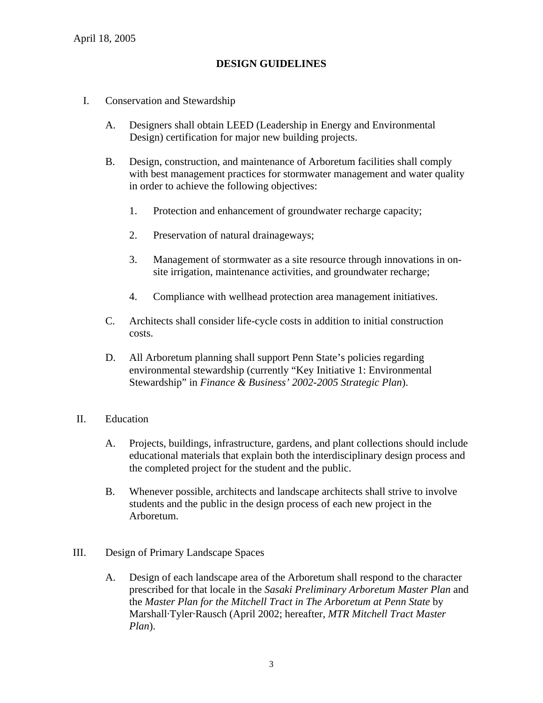# **DESIGN GUIDELINES**

- I. Conservation and Stewardship
	- A. Designers shall obtain LEED (Leadership in Energy and Environmental Design) certification for major new building projects.
	- B. Design, construction, and maintenance of Arboretum facilities shall comply with best management practices for stormwater management and water quality in order to achieve the following objectives:
		- 1. Protection and enhancement of groundwater recharge capacity;
		- 2. Preservation of natural drainageways;
		- 3. Management of stormwater as a site resource through innovations in onsite irrigation, maintenance activities, and groundwater recharge;
		- 4. Compliance with wellhead protection area management initiatives.
	- C. Architects shall consider life-cycle costs in addition to initial construction costs.
	- D. All Arboretum planning shall support Penn State's policies regarding environmental stewardship (currently "Key Initiative 1: Environmental Stewardship" in *Finance & Business' 2002-2005 Strategic Plan*).
- II. Education
	- A. Projects, buildings, infrastructure, gardens, and plant collections should include educational materials that explain both the interdisciplinary design process and the completed project for the student and the public.
	- B. Whenever possible, architects and landscape architects shall strive to involve students and the public in the design process of each new project in the Arboretum.
- III. Design of Primary Landscape Spaces
	- A. Design of each landscape area of the Arboretum shall respond to the character prescribed for that locale in the *Sasaki Preliminary Arboretum Master Plan* and the *Master Plan for the Mitchell Tract in The Arboretum at Penn State* by Marshall·Tyler·Rausch (April 2002; hereafter, *MTR Mitchell Tract Master Plan*).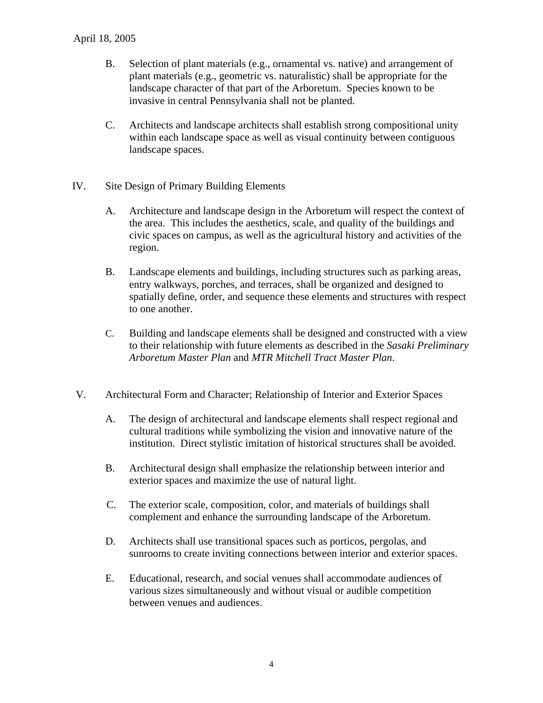#### April 18, 2005

- B. Selection of plant materials (e.g., ornamental vs. native) and arrangement of plant materials (e.g., geometric vs. naturalistic) shall be appropriate for the landscape character of that part of the Arboretum. Species known to be invasive in central Pennsylvania shall not be planted.
- C. Architects and landscape architects shall establish strong compositional unity within each landscape space as well as visual continuity between contiguous landscape spaces.
- IV. Site Design of Primary Building Elements
	- A. Architecture and landscape design in the Arboretum will respect the context of the area. This includes the aesthetics, scale, and quality of the buildings and civic spaces on campus, as well as the agricultural history and activities of the region.
	- B. Landscape elements and buildings, including structures such as parking areas, entry walkways, porches, and terraces, shall be organized and designed to spatially define, order, and sequence these elements and structures with respect to one another.
	- C. Building and landscape elements shall be designed and constructed with a view to their relationship with future elements as described in the *Sasaki Preliminary Arboretum Master Plan* and *MTR Mitchell Tract Master Plan*.
- V. Architectural Form and Character; Relationship of Interior and Exterior Spaces
	- A. The design of architectural and landscape elements shall respect regional and cultural traditions while symbolizing the vision and innovative nature of the institution. Direct stylistic imitation of historical structures shall be avoided.
	- B. Architectural design shall emphasize the relationship between interior and exterior spaces and maximize the use of natural light.
	- C. The exterior scale, composition, color, and materials of buildings shall complement and enhance the surrounding landscape of the Arboretum.
	- D. Architects shall use transitional spaces such as porticos, pergolas, and sunrooms to create inviting connections between interior and exterior spaces.
	- E. Educational, research, and social venues shall accommodate audiences of various sizes simultaneously and without visual or audible competition between venues and audiences.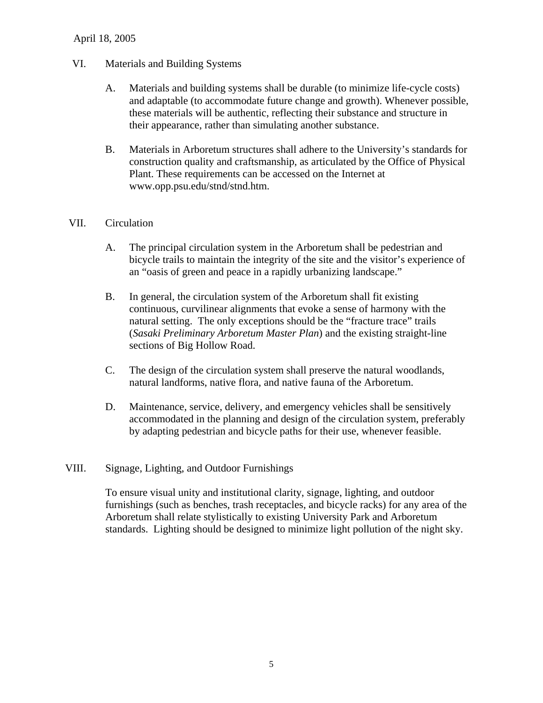#### April 18, 2005

### VI. Materials and Building Systems

- A. Materials and building systems shall be durable (to minimize life-cycle costs) and adaptable (to accommodate future change and growth). Whenever possible, these materials will be authentic, reflecting their substance and structure in their appearance, rather than simulating another substance.
- B. Materials in Arboretum structures shall adhere to the University's standards for construction quality and craftsmanship, as articulated by the Office of Physical Plant. These requirements can be accessed on the Internet at www.opp.psu.edu/stnd/stnd.htm.

#### VII. Circulation

- A. The principal circulation system in the Arboretum shall be pedestrian and bicycle trails to maintain the integrity of the site and the visitor's experience of an "oasis of green and peace in a rapidly urbanizing landscape."
- B. In general, the circulation system of the Arboretum shall fit existing continuous, curvilinear alignments that evoke a sense of harmony with the natural setting. The only exceptions should be the "fracture trace" trails (*Sasaki Preliminary Arboretum Master Plan*) and the existing straight-line sections of Big Hollow Road.
- C. The design of the circulation system shall preserve the natural woodlands, natural landforms, native flora, and native fauna of the Arboretum.
- D. Maintenance, service, delivery, and emergency vehicles shall be sensitively accommodated in the planning and design of the circulation system, preferably by adapting pedestrian and bicycle paths for their use, whenever feasible.

#### VIII. Signage, Lighting, and Outdoor Furnishings

To ensure visual unity and institutional clarity, signage, lighting, and outdoor furnishings (such as benches, trash receptacles, and bicycle racks) for any area of the Arboretum shall relate stylistically to existing University Park and Arboretum standards. Lighting should be designed to minimize light pollution of the night sky.